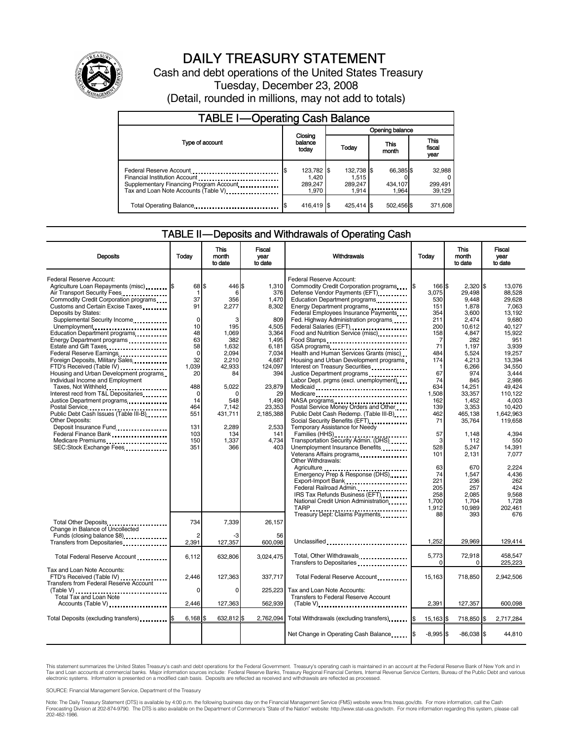

# DAILY TREASURY STATEMENT

Cash and debt operations of the United States Treasury Tuesday, December 23, 2008 (Detail, rounded in millions, may not add to totals)

| <b>TABLE I-Operating Cash Balance</b>                                                                                                       |     |                                         |  |                                         |               |                               |  |                               |
|---------------------------------------------------------------------------------------------------------------------------------------------|-----|-----------------------------------------|--|-----------------------------------------|---------------|-------------------------------|--|-------------------------------|
|                                                                                                                                             |     |                                         |  | Opening balance                         |               |                               |  |                               |
| Type of account                                                                                                                             |     | Closing<br>balance<br>today             |  | Today                                   | This<br>month |                               |  | <b>This</b><br>fiscal<br>year |
| Federal Reserve Account<br>Financial Institution Account<br>Supplementary Financing Program Account<br>Tax and Loan Note Accounts (Table V) | I\$ | 123,782 \$<br>1.420<br>289.247<br>1.970 |  | 132,738 \$<br>1.515<br>289.247<br>1.914 |               | 66,385 \$<br>434.107<br>1.964 |  | 32,988<br>299,491<br>39.129   |
| Total Operating Balance                                                                                                                     |     | 416,419 \$                              |  | 425.414 \$                              |               | 502,456 \$                    |  | 371,608                       |

#### TABLE II — Deposits and Withdrawals of Operating Cash

| <b>Deposits</b>                                                                                                       | Todav                    | This<br>month<br>to date     | <b>Fiscal</b><br>vear<br>to date | Withdrawals                                                                                                                                                                                                                                                                                                  | Today                   | This<br>month<br>to date            | Fiscal<br>vear<br>to date               |
|-----------------------------------------------------------------------------------------------------------------------|--------------------------|------------------------------|----------------------------------|--------------------------------------------------------------------------------------------------------------------------------------------------------------------------------------------------------------------------------------------------------------------------------------------------------------|-------------------------|-------------------------------------|-----------------------------------------|
| Federal Reserve Account:<br>Agriculture Loan Repayments (misc). \$<br>Air Transport Security Fees                     | 68 \$<br>-1              | 446 \$<br>6                  | 1.310<br>376                     | Federal Reserve Account:<br>Commodity Credit Corporation programs<br>Defense Vendor Payments (EFT)                                                                                                                                                                                                           | 166 \$<br>3.075         | $2,320$ \$<br>29.498                | 13.076<br>88.528                        |
| Commodity Credit Corporation programs<br>Customs and Certain Excise Taxes<br>Deposits by States:                      | 37<br>91                 | 356<br>2,277                 | 1,470<br>8,302                   | Education Department programs<br>Energy Department programs<br><br>Federal Employees Insurance Payments                                                                                                                                                                                                      | 530<br>151<br>354       | 9,448<br>1.878<br>3.600             | 29,628<br>7.063<br>13.192               |
| Supplemental Security Income<br>Unemployment<br>Education Department programs                                         | $\Omega$<br>10<br>48     | 3<br>195<br>1,069            | 809<br>4,505<br>3,364            | Fed. Highway Administration programs<br>Federal Salaries (EFT)<br>1991 - The President California Contract California Contract California Contract California Contract California California Contract California California California California California California<br>Food and Nutrition Service (misc) | 211<br>200<br>158       | 2.474<br>10,612<br>4,847            | 9.680<br>40,127<br>15,922               |
| Energy Department programs<br>Federal Reserve Earnings                                                                | 63<br>58<br>$\mathbf 0$  | 382<br>1.632<br>2,094        | 1.495<br>6.181<br>7,034          | Food Stamps<br>GSA programs<br>Health and Human Services Grants (misc)                                                                                                                                                                                                                                       | 7<br>71<br>484          | 282<br>1.197<br>5,524               | 951<br>3.939<br>19,257                  |
| Foreign Deposits, Military Sales<br>FTD's Received (Table IV)<br>Housing and Urban Development programs               | 32<br>1.039<br>20        | 2,210<br>42,933<br>84        | 4,687<br>124,097<br>394          | Housing and Urban Development programs<br>Interest on Treasury Securities<br>Justice Department programs                                                                                                                                                                                                     | 174<br>67               | 4,213<br>6,266<br>974               | 13,394<br>34,550<br>3.444               |
| Individual Income and Employment<br>Taxes, Not Withheld<br>Interest recd from T&L Depositaries                        | 488<br>$\Omega$          | 5,022<br>$\Omega$            | 23,879<br>29                     | Labor Dept. prgms (excl. unemployment)<br>Medicare                                                                                                                                                                                                                                                           | 74<br>634<br>1.508      | 845<br>14,251<br>33,357             | 2,986<br>49.424<br>110,122              |
| Justice Department programs<br>Postal Service<br>Public Debt Cash Issues (Table III-B) [19]<br><b>Other Deposits:</b> | 14<br>464<br>551         | 548<br>7,142<br>431,711      | 1,490<br>23,353<br>2,185,388     | Postal Service Money Orders and Other<br>Public Debt Cash Redemp. (Table III-B)<br>Social Security Benefits (EFT)                                                                                                                                                                                            | 162<br>139<br>462<br>71 | 1,452<br>3,353<br>465,138<br>35,764 | 4,003<br>10.420<br>1,642,963<br>119,658 |
| Deposit Insurance Fund<br>Federal Finance Bank<br>Medicare Premiums<br>SEC:Stock Exchange Fees                        | 131<br>103<br>150<br>351 | 2,289<br>134<br>1,337<br>366 | 2,533<br>141<br>4.734<br>403     | Temporary Assistance for Needy<br>Families (HHS) <b></b><br>Transportation Security Admin. (DHS)<br>Unemployment Insurance Benefits                                                                                                                                                                          | 57<br>3<br>528          | 1,148<br>112<br>5.247               | 4.394<br>550<br>14.391                  |
|                                                                                                                       |                          |                              |                                  | Other Withdrawals:                                                                                                                                                                                                                                                                                           | 101<br>63               | 2,131<br>670                        | 7,077<br>2.224                          |
|                                                                                                                       |                          |                              |                                  | Emergency Prep & Response (DHS)<br>Export-Import Bank<br>1999: 1999: 1999: 1999: 1999: 1999: 1999: 1999: 1999: 1999: 1999: 1999: 1999: 1999: 1999: 1999: 1999: 1999: 1<br>Federal Railroad Admin.<br>IRS Tax Refunds Business (EFT)                                                                          | 74<br>221<br>205<br>258 | 1,547<br>236<br>257<br>2,085        | 4,436<br>262<br>424<br>9.568            |
|                                                                                                                       |                          |                              |                                  | National Credit Union Administration                                                                                                                                                                                                                                                                         | 1,700<br>1,912<br>88    | 1,704<br>10,989<br>393              | 1,728<br>202.461<br>676                 |
| Total Other Deposits<br>Change in Balance of Uncollected<br>Funds (closing balance \$8)                               | 734<br>$\overline{c}$    | 7.339                        | 26.157<br>56                     |                                                                                                                                                                                                                                                                                                              |                         |                                     |                                         |
| Transfers from Depositaries                                                                                           | 2,391                    | 127,357                      | 600,098                          | Unclassified                                                                                                                                                                                                                                                                                                 | 1,252                   | 29,969                              | 129,414                                 |
| Total Federal Reserve Account<br>Tax and Loan Note Accounts:                                                          | 6,112                    | 632,806                      | 3,024,475                        | Total, Other Withdrawals<br>Transfers to Depositaries                                                                                                                                                                                                                                                        | 5,773<br>$\Omega$       | 72,918<br>0                         | 458.547<br>225,223                      |
| FTD's Received (Table IV)<br>Transfers from Federal Reserve Account                                                   | 2.446                    | 127,363                      | 337,717                          | Total Federal Reserve Account                                                                                                                                                                                                                                                                                | 15,163                  | 718,850                             | 2,942,506                               |
| $(Table V)$<br>Total Tax and Loan Note<br>Accounts (Table V)                                                          | 0<br>2.446               | 0<br>127,363                 | 225,223<br>562,939               | Tax and Loan Note Accounts:<br>Transfers to Federal Reserve Account<br>$(Table V)$ ,                                                                                                                                                                                                                         | 2,391                   | 127,357                             | 600,098                                 |
| Total Deposits (excluding transfers) [\$                                                                              | $6.168$ \$               | 632,812 \$                   | 2,762,094                        | Total Withdrawals (excluding transfers)                                                                                                                                                                                                                                                                      | 15,163 \$<br>I\$        | 718,850 \$                          | 2,717,284                               |
|                                                                                                                       |                          |                              |                                  | Net Change in Operating Cash Balance                                                                                                                                                                                                                                                                         | $-8,995$ \$             | $-86,038$ \$                        | 44,810                                  |

This statement summarizes the United States Treasury's cash and debt operations for the Federal Government. Treasury's operating cash is maintained in an account at the Federal Reserve Bank of New York and in<br>Tax and Loan

SOURCE: Financial Management Service, Department of the Treasury

Note: The Daily Treasury Statement (DTS) is available by 4:00 p.m. the following business day on the Financial Management Service (FMS) website www.fms.treas.gov/dts. For more information, call the Cash<br>Forecasting Divisio eas.gov/dts. F<br>For more infor